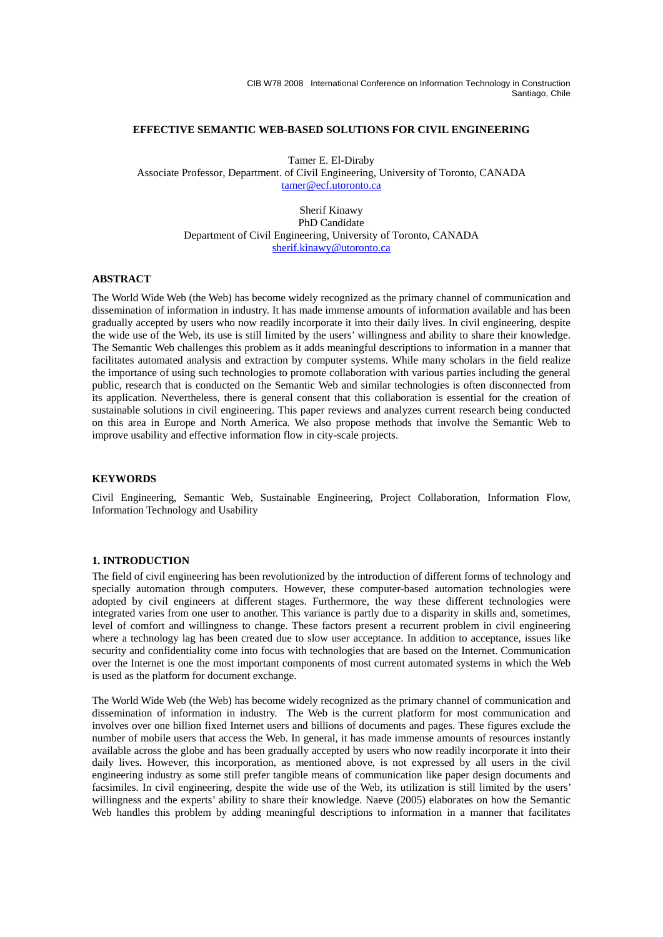CIB W78 2008 International Conference on Information Technology in Construction Santiago, Chile

### **EFFECTIVE SEMANTIC WEB-BASED SOLUTIONS FOR CIVIL ENGINEERING**

Tamer E. El-Diraby Associate Professor, Department. of Civil Engineering, University of Toronto, CANADA tamer@ecf.utoronto.ca

> Sherif Kinawy PhD Candidate Department of Civil Engineering, University of Toronto, CANADA sherif.kinawy@utoronto.ca

## **ABSTRACT**

The World Wide Web (the Web) has become widely recognized as the primary channel of communication and dissemination of information in industry. It has made immense amounts of information available and has been gradually accepted by users who now readily incorporate it into their daily lives. In civil engineering, despite the wide use of the Web, its use is still limited by the users' willingness and ability to share their knowledge. The Semantic Web challenges this problem as it adds meaningful descriptions to information in a manner that facilitates automated analysis and extraction by computer systems. While many scholars in the field realize the importance of using such technologies to promote collaboration with various parties including the general public, research that is conducted on the Semantic Web and similar technologies is often disconnected from its application. Nevertheless, there is general consent that this collaboration is essential for the creation of sustainable solutions in civil engineering. This paper reviews and analyzes current research being conducted on this area in Europe and North America. We also propose methods that involve the Semantic Web to improve usability and effective information flow in city-scale projects.

#### **KEYWORDS**

Civil Engineering, Semantic Web, Sustainable Engineering, Project Collaboration, Information Flow, Information Technology and Usability

### **1. INTRODUCTION**

The field of civil engineering has been revolutionized by the introduction of different forms of technology and specially automation through computers. However, these computer-based automation technologies were adopted by civil engineers at different stages. Furthermore, the way these different technologies were integrated varies from one user to another. This variance is partly due to a disparity in skills and, sometimes, level of comfort and willingness to change. These factors present a recurrent problem in civil engineering where a technology lag has been created due to slow user acceptance. In addition to acceptance, issues like security and confidentiality come into focus with technologies that are based on the Internet. Communication over the Internet is one the most important components of most current automated systems in which the Web is used as the platform for document exchange.

The World Wide Web (the Web) has become widely recognized as the primary channel of communication and dissemination of information in industry. The Web is the current platform for most communication and involves over one billion fixed Internet users and billions of documents and pages. These figures exclude the number of mobile users that access the Web. In general, it has made immense amounts of resources instantly available across the globe and has been gradually accepted by users who now readily incorporate it into their daily lives. However, this incorporation, as mentioned above, is not expressed by all users in the civil engineering industry as some still prefer tangible means of communication like paper design documents and facsimiles. In civil engineering, despite the wide use of the Web, its utilization is still limited by the users' willingness and the experts' ability to share their knowledge. Naeve (2005) elaborates on how the Semantic Web handles this problem by adding meaningful descriptions to information in a manner that facilitates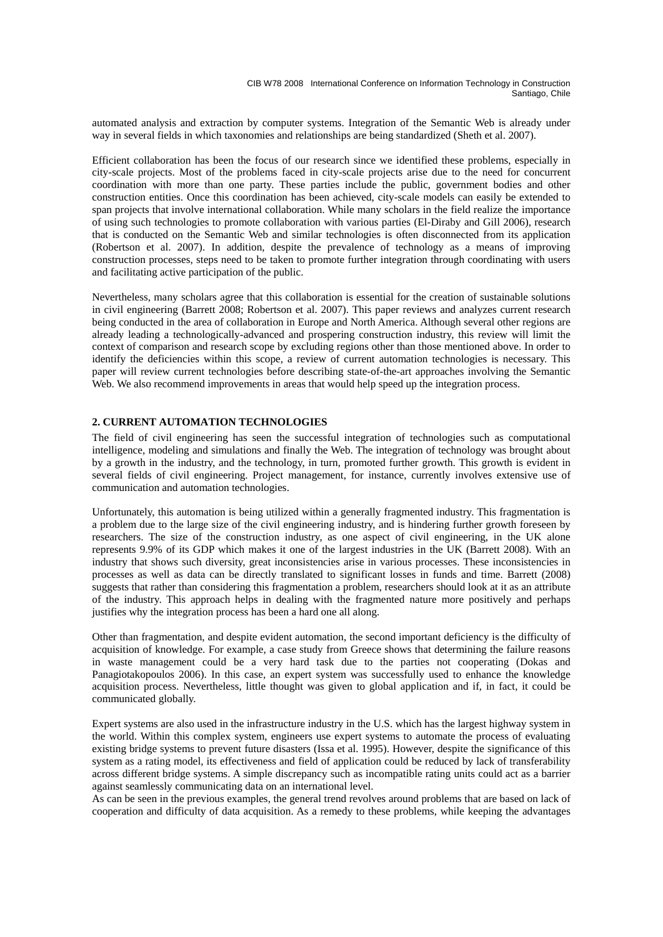automated analysis and extraction by computer systems. Integration of the Semantic Web is already under way in several fields in which taxonomies and relationships are being standardized (Sheth et al. 2007).

Efficient collaboration has been the focus of our research since we identified these problems, especially in city-scale projects. Most of the problems faced in city-scale projects arise due to the need for concurrent coordination with more than one party. These parties include the public, government bodies and other construction entities. Once this coordination has been achieved, city-scale models can easily be extended to span projects that involve international collaboration. While many scholars in the field realize the importance of using such technologies to promote collaboration with various parties (El-Diraby and Gill 2006), research that is conducted on the Semantic Web and similar technologies is often disconnected from its application (Robertson et al. 2007). In addition, despite the prevalence of technology as a means of improving construction processes, steps need to be taken to promote further integration through coordinating with users and facilitating active participation of the public.

Nevertheless, many scholars agree that this collaboration is essential for the creation of sustainable solutions in civil engineering (Barrett 2008; Robertson et al. 2007). This paper reviews and analyzes current research being conducted in the area of collaboration in Europe and North America. Although several other regions are already leading a technologically-advanced and prospering construction industry, this review will limit the context of comparison and research scope by excluding regions other than those mentioned above. In order to identify the deficiencies within this scope, a review of current automation technologies is necessary. This paper will review current technologies before describing state-of-the-art approaches involving the Semantic Web. We also recommend improvements in areas that would help speed up the integration process.

# **2. CURRENT AUTOMATION TECHNOLOGIES**

The field of civil engineering has seen the successful integration of technologies such as computational intelligence, modeling and simulations and finally the Web. The integration of technology was brought about by a growth in the industry, and the technology, in turn, promoted further growth. This growth is evident in several fields of civil engineering. Project management, for instance, currently involves extensive use of communication and automation technologies.

Unfortunately, this automation is being utilized within a generally fragmented industry. This fragmentation is a problem due to the large size of the civil engineering industry, and is hindering further growth foreseen by researchers. The size of the construction industry, as one aspect of civil engineering, in the UK alone represents 9.9% of its GDP which makes it one of the largest industries in the UK (Barrett 2008). With an industry that shows such diversity, great inconsistencies arise in various processes. These inconsistencies in processes as well as data can be directly translated to significant losses in funds and time. Barrett (2008) suggests that rather than considering this fragmentation a problem, researchers should look at it as an attribute of the industry. This approach helps in dealing with the fragmented nature more positively and perhaps justifies why the integration process has been a hard one all along.

Other than fragmentation, and despite evident automation, the second important deficiency is the difficulty of acquisition of knowledge. For example, a case study from Greece shows that determining the failure reasons in waste management could be a very hard task due to the parties not cooperating (Dokas and Panagiotakopoulos 2006). In this case, an expert system was successfully used to enhance the knowledge acquisition process. Nevertheless, little thought was given to global application and if, in fact, it could be communicated globally.

Expert systems are also used in the infrastructure industry in the U.S. which has the largest highway system in the world. Within this complex system, engineers use expert systems to automate the process of evaluating existing bridge systems to prevent future disasters (Issa et al. 1995). However, despite the significance of this system as a rating model, its effectiveness and field of application could be reduced by lack of transferability across different bridge systems. A simple discrepancy such as incompatible rating units could act as a barrier against seamlessly communicating data on an international level.

As can be seen in the previous examples, the general trend revolves around problems that are based on lack of cooperation and difficulty of data acquisition. As a remedy to these problems, while keeping the advantages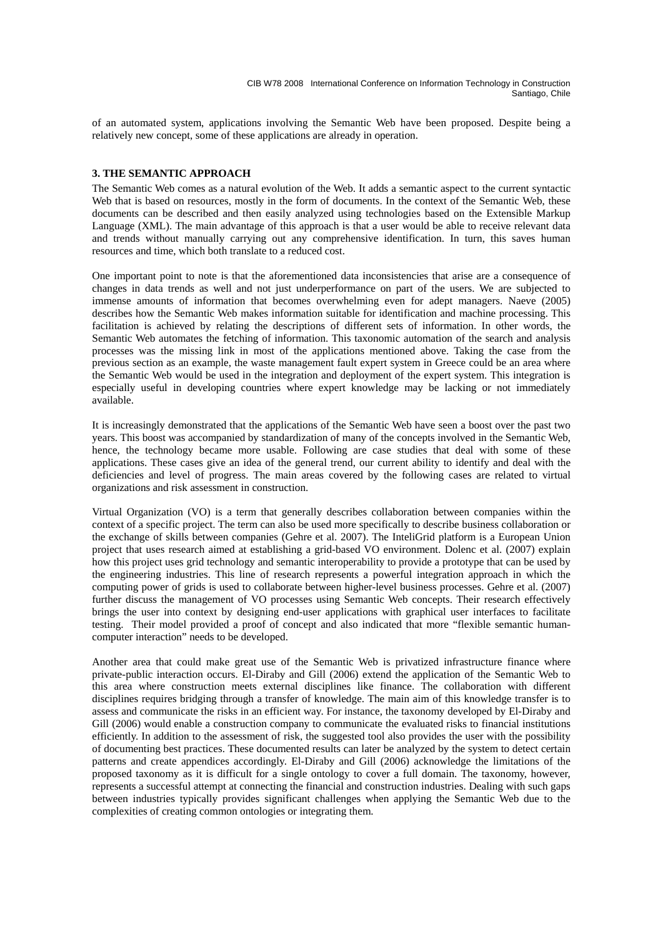of an automated system, applications involving the Semantic Web have been proposed. Despite being a relatively new concept, some of these applications are already in operation.

### **3. THE SEMANTIC APPROACH**

The Semantic Web comes as a natural evolution of the Web. It adds a semantic aspect to the current syntactic Web that is based on resources, mostly in the form of documents. In the context of the Semantic Web, these documents can be described and then easily analyzed using technologies based on the Extensible Markup Language (XML). The main advantage of this approach is that a user would be able to receive relevant data and trends without manually carrying out any comprehensive identification. In turn, this saves human resources and time, which both translate to a reduced cost.

One important point to note is that the aforementioned data inconsistencies that arise are a consequence of changes in data trends as well and not just underperformance on part of the users. We are subjected to immense amounts of information that becomes overwhelming even for adept managers. Naeve (2005) describes how the Semantic Web makes information suitable for identification and machine processing. This facilitation is achieved by relating the descriptions of different sets of information. In other words, the Semantic Web automates the fetching of information. This taxonomic automation of the search and analysis processes was the missing link in most of the applications mentioned above. Taking the case from the previous section as an example, the waste management fault expert system in Greece could be an area where the Semantic Web would be used in the integration and deployment of the expert system. This integration is especially useful in developing countries where expert knowledge may be lacking or not immediately available.

It is increasingly demonstrated that the applications of the Semantic Web have seen a boost over the past two years. This boost was accompanied by standardization of many of the concepts involved in the Semantic Web, hence, the technology became more usable. Following are case studies that deal with some of these applications. These cases give an idea of the general trend, our current ability to identify and deal with the deficiencies and level of progress. The main areas covered by the following cases are related to virtual organizations and risk assessment in construction.

Virtual Organization (VO) is a term that generally describes collaboration between companies within the context of a specific project. The term can also be used more specifically to describe business collaboration or the exchange of skills between companies (Gehre et al. 2007). The InteliGrid platform is a European Union project that uses research aimed at establishing a grid-based VO environment. Dolenc et al. (2007) explain how this project uses grid technology and semantic interoperability to provide a prototype that can be used by the engineering industries. This line of research represents a powerful integration approach in which the computing power of grids is used to collaborate between higher-level business processes. Gehre et al. (2007) further discuss the management of VO processes using Semantic Web concepts. Their research effectively brings the user into context by designing end-user applications with graphical user interfaces to facilitate testing. Their model provided a proof of concept and also indicated that more "flexible semantic humancomputer interaction" needs to be developed.

Another area that could make great use of the Semantic Web is privatized infrastructure finance where private-public interaction occurs. El-Diraby and Gill (2006) extend the application of the Semantic Web to this area where construction meets external disciplines like finance. The collaboration with different disciplines requires bridging through a transfer of knowledge. The main aim of this knowledge transfer is to assess and communicate the risks in an efficient way. For instance, the taxonomy developed by El-Diraby and Gill (2006) would enable a construction company to communicate the evaluated risks to financial institutions efficiently. In addition to the assessment of risk, the suggested tool also provides the user with the possibility of documenting best practices. These documented results can later be analyzed by the system to detect certain patterns and create appendices accordingly. El-Diraby and Gill (2006) acknowledge the limitations of the proposed taxonomy as it is difficult for a single ontology to cover a full domain. The taxonomy, however, represents a successful attempt at connecting the financial and construction industries. Dealing with such gaps between industries typically provides significant challenges when applying the Semantic Web due to the complexities of creating common ontologies or integrating them.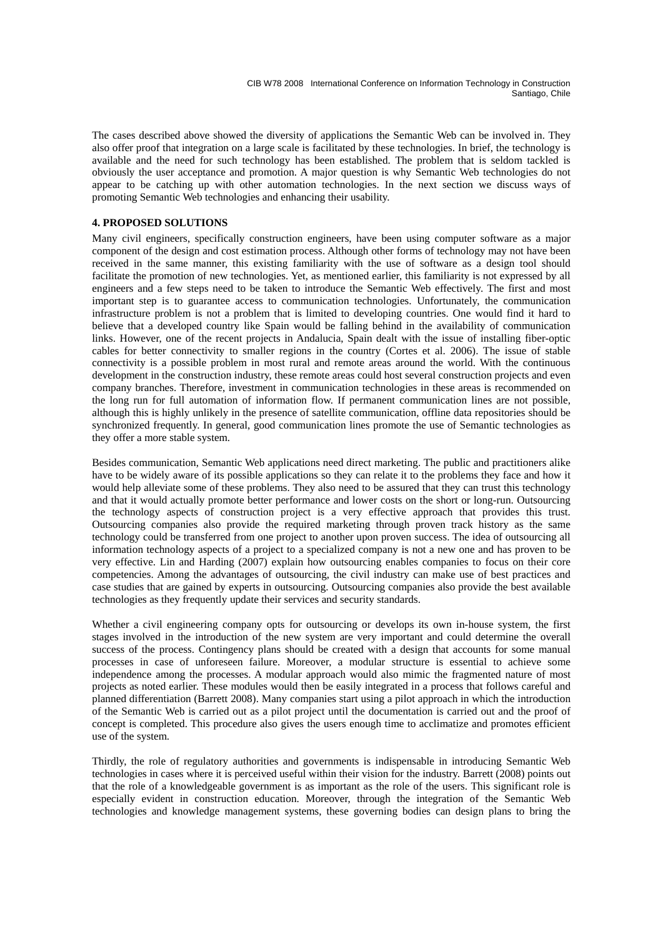The cases described above showed the diversity of applications the Semantic Web can be involved in. They also offer proof that integration on a large scale is facilitated by these technologies. In brief, the technology is available and the need for such technology has been established. The problem that is seldom tackled is obviously the user acceptance and promotion. A major question is why Semantic Web technologies do not appear to be catching up with other automation technologies. In the next section we discuss ways of promoting Semantic Web technologies and enhancing their usability.

# **4. PROPOSED SOLUTIONS**

Many civil engineers, specifically construction engineers, have been using computer software as a major component of the design and cost estimation process. Although other forms of technology may not have been received in the same manner, this existing familiarity with the use of software as a design tool should facilitate the promotion of new technologies. Yet, as mentioned earlier, this familiarity is not expressed by all engineers and a few steps need to be taken to introduce the Semantic Web effectively. The first and most important step is to guarantee access to communication technologies. Unfortunately, the communication infrastructure problem is not a problem that is limited to developing countries. One would find it hard to believe that a developed country like Spain would be falling behind in the availability of communication links. However, one of the recent projects in Andalucia, Spain dealt with the issue of installing fiber-optic cables for better connectivity to smaller regions in the country (Cortes et al. 2006). The issue of stable connectivity is a possible problem in most rural and remote areas around the world. With the continuous development in the construction industry, these remote areas could host several construction projects and even company branches. Therefore, investment in communication technologies in these areas is recommended on the long run for full automation of information flow. If permanent communication lines are not possible, although this is highly unlikely in the presence of satellite communication, offline data repositories should be synchronized frequently. In general, good communication lines promote the use of Semantic technologies as they offer a more stable system.

Besides communication, Semantic Web applications need direct marketing. The public and practitioners alike have to be widely aware of its possible applications so they can relate it to the problems they face and how it would help alleviate some of these problems. They also need to be assured that they can trust this technology and that it would actually promote better performance and lower costs on the short or long-run. Outsourcing the technology aspects of construction project is a very effective approach that provides this trust. Outsourcing companies also provide the required marketing through proven track history as the same technology could be transferred from one project to another upon proven success. The idea of outsourcing all information technology aspects of a project to a specialized company is not a new one and has proven to be very effective. Lin and Harding (2007) explain how outsourcing enables companies to focus on their core competencies. Among the advantages of outsourcing, the civil industry can make use of best practices and case studies that are gained by experts in outsourcing. Outsourcing companies also provide the best available technologies as they frequently update their services and security standards.

Whether a civil engineering company opts for outsourcing or develops its own in-house system, the first stages involved in the introduction of the new system are very important and could determine the overall success of the process. Contingency plans should be created with a design that accounts for some manual processes in case of unforeseen failure. Moreover, a modular structure is essential to achieve some independence among the processes. A modular approach would also mimic the fragmented nature of most projects as noted earlier. These modules would then be easily integrated in a process that follows careful and planned differentiation (Barrett 2008). Many companies start using a pilot approach in which the introduction of the Semantic Web is carried out as a pilot project until the documentation is carried out and the proof of concept is completed. This procedure also gives the users enough time to acclimatize and promotes efficient use of the system.

Thirdly, the role of regulatory authorities and governments is indispensable in introducing Semantic Web technologies in cases where it is perceived useful within their vision for the industry. Barrett (2008) points out that the role of a knowledgeable government is as important as the role of the users. This significant role is especially evident in construction education. Moreover, through the integration of the Semantic Web technologies and knowledge management systems, these governing bodies can design plans to bring the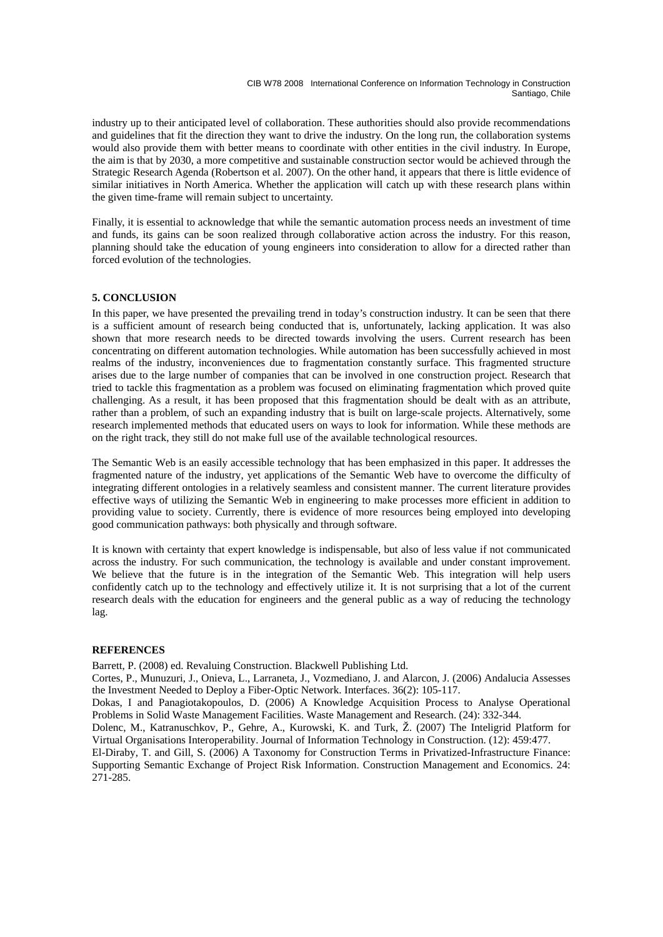CIB W78 2008 International Conference on Information Technology in Construction Santiago, Chile

industry up to their anticipated level of collaboration. These authorities should also provide recommendations and guidelines that fit the direction they want to drive the industry. On the long run, the collaboration systems would also provide them with better means to coordinate with other entities in the civil industry. In Europe, the aim is that by 2030, a more competitive and sustainable construction sector would be achieved through the Strategic Research Agenda (Robertson et al. 2007). On the other hand, it appears that there is little evidence of similar initiatives in North America. Whether the application will catch up with these research plans within the given time-frame will remain subject to uncertainty.

Finally, it is essential to acknowledge that while the semantic automation process needs an investment of time and funds, its gains can be soon realized through collaborative action across the industry. For this reason, planning should take the education of young engineers into consideration to allow for a directed rather than forced evolution of the technologies.

# **5. CONCLUSION**

In this paper, we have presented the prevailing trend in today's construction industry. It can be seen that there is a sufficient amount of research being conducted that is, unfortunately, lacking application. It was also shown that more research needs to be directed towards involving the users. Current research has been concentrating on different automation technologies. While automation has been successfully achieved in most realms of the industry, inconveniences due to fragmentation constantly surface. This fragmented structure arises due to the large number of companies that can be involved in one construction project. Research that tried to tackle this fragmentation as a problem was focused on eliminating fragmentation which proved quite challenging. As a result, it has been proposed that this fragmentation should be dealt with as an attribute, rather than a problem, of such an expanding industry that is built on large-scale projects. Alternatively, some research implemented methods that educated users on ways to look for information. While these methods are on the right track, they still do not make full use of the available technological resources.

The Semantic Web is an easily accessible technology that has been emphasized in this paper. It addresses the fragmented nature of the industry, yet applications of the Semantic Web have to overcome the difficulty of integrating different ontologies in a relatively seamless and consistent manner. The current literature provides effective ways of utilizing the Semantic Web in engineering to make processes more efficient in addition to providing value to society. Currently, there is evidence of more resources being employed into developing good communication pathways: both physically and through software.

It is known with certainty that expert knowledge is indispensable, but also of less value if not communicated across the industry. For such communication, the technology is available and under constant improvement. We believe that the future is in the integration of the Semantic Web. This integration will help users confidently catch up to the technology and effectively utilize it. It is not surprising that a lot of the current research deals with the education for engineers and the general public as a way of reducing the technology lag.

### **REFERENCES**

Barrett, P. (2008) ed. Revaluing Construction. Blackwell Publishing Ltd.

Cortes, P., Munuzuri, J., Onieva, L., Larraneta, J., Vozmediano, J. and Alarcon, J. (2006) Andalucia Assesses the Investment Needed to Deploy a Fiber-Optic Network. Interfaces. 36(2): 105-117.

Dokas, I and Panagiotakopoulos, D. (2006) A Knowledge Acquisition Process to Analyse Operational Problems in Solid Waste Management Facilities. Waste Management and Research. (24): 332-344.

Dolenc, M., Katranuschkov, P., Gehre, A., Kurowski, K. and Turk, Ž. (2007) The Inteligrid Platform for Virtual Organisations Interoperability. Journal of Information Technology in Construction. (12): 459:477.

El-Diraby, T. and Gill, S. (2006) A Taxonomy for Construction Terms in Privatized-Infrastructure Finance: Supporting Semantic Exchange of Project Risk Information. Construction Management and Economics. 24: 271-285.